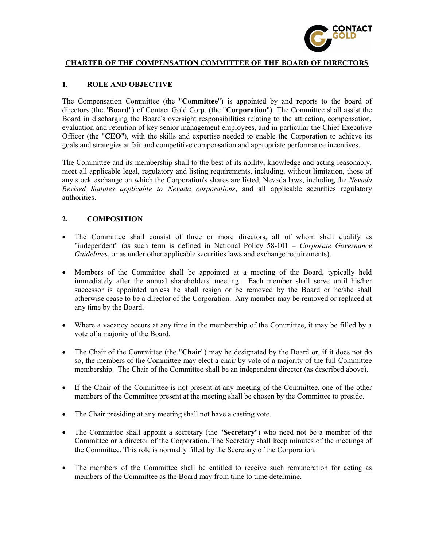

# CHARTER OF THE COMPENSATION COMMITTEE OF THE BOARD OF DIRECTORS

### 1. ROLE AND OBJECTIVE

The Compensation Committee (the "Committee") is appointed by and reports to the board of directors (the "Board") of Contact Gold Corp. (the "Corporation"). The Committee shall assist the Board in discharging the Board's oversight responsibilities relating to the attraction, compensation, evaluation and retention of key senior management employees, and in particular the Chief Executive Officer (the "CEO"), with the skills and expertise needed to enable the Corporation to achieve its goals and strategies at fair and competitive compensation and appropriate performance incentives.

The Committee and its membership shall to the best of its ability, knowledge and acting reasonably, meet all applicable legal, regulatory and listing requirements, including, without limitation, those of any stock exchange on which the Corporation's shares are listed, Nevada laws, including the Nevada Revised Statutes applicable to Nevada corporations, and all applicable securities regulatory authorities.

#### 2. COMPOSITION

- The Committee shall consist of three or more directors, all of whom shall qualify as "independent" (as such term is defined in National Policy 58-101 – Corporate Governance Guidelines, or as under other applicable securities laws and exchange requirements).
- Members of the Committee shall be appointed at a meeting of the Board, typically held immediately after the annual shareholders' meeting. Each member shall serve until his/her successor is appointed unless he shall resign or be removed by the Board or he/she shall otherwise cease to be a director of the Corporation. Any member may be removed or replaced at any time by the Board.
- Where a vacancy occurs at any time in the membership of the Committee, it may be filled by a vote of a majority of the Board.
- The Chair of the Committee (the "Chair") may be designated by the Board or, if it does not do so, the members of the Committee may elect a chair by vote of a majority of the full Committee membership. The Chair of the Committee shall be an independent director (as described above).
- If the Chair of the Committee is not present at any meeting of the Committee, one of the other members of the Committee present at the meeting shall be chosen by the Committee to preside.
- The Chair presiding at any meeting shall not have a casting vote.
- The Committee shall appoint a secretary (the "Secretary") who need not be a member of the Committee or a director of the Corporation. The Secretary shall keep minutes of the meetings of the Committee. This role is normally filled by the Secretary of the Corporation.
- The members of the Committee shall be entitled to receive such remuneration for acting as members of the Committee as the Board may from time to time determine.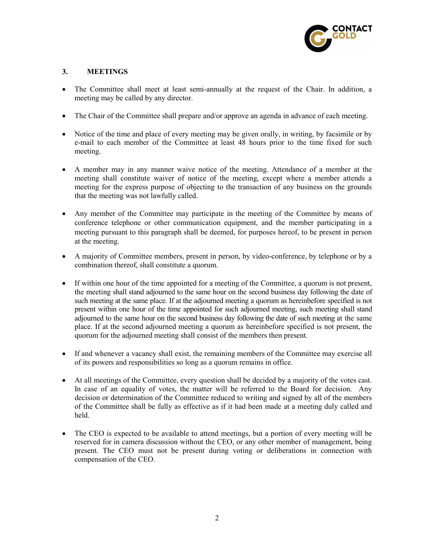

## 3. MEETINGS

- The Committee shall meet at least semi-annually at the request of the Chair. In addition, a meeting may be called by any director.
- The Chair of the Committee shall prepare and/or approve an agenda in advance of each meeting.
- Notice of the time and place of every meeting may be given orally, in writing, by facsimile or by e-mail to each member of the Committee at least 48 hours prior to the time fixed for such meeting.
- A member may in any manner waive notice of the meeting. Attendance of a member at the meeting shall constitute waiver of notice of the meeting, except where a member attends a meeting for the express purpose of objecting to the transaction of any business on the grounds that the meeting was not lawfully called.
- Any member of the Committee may participate in the meeting of the Committee by means of conference telephone or other communication equipment, and the member participating in a meeting pursuant to this paragraph shall be deemed, for purposes hereof, to be present in person at the meeting.
- A majority of Committee members, present in person, by video-conference, by telephone or by a combination thereof, shall constitute a quorum.
- If within one hour of the time appointed for a meeting of the Committee, a quorum is not present, the meeting shall stand adjourned to the same hour on the second business day following the date of such meeting at the same place. If at the adjourned meeting a quorum as hereinbefore specified is not present within one hour of the time appointed for such adjourned meeting, such meeting shall stand adjourned to the same hour on the second business day following the date of such meeting at the same place. If at the second adjourned meeting a quorum as hereinbefore specified is not present, the quorum for the adjourned meeting shall consist of the members then present.
- If and whenever a vacancy shall exist, the remaining members of the Committee may exercise all of its powers and responsibilities so long as a quorum remains in office.
- At all meetings of the Committee, every question shall be decided by a majority of the votes cast. In case of an equality of votes, the matter will be referred to the Board for decision. Any decision or determination of the Committee reduced to writing and signed by all of the members of the Committee shall be fully as effective as if it had been made at a meeting duly called and held.
- The CEO is expected to be available to attend meetings, but a portion of every meeting will be reserved for in camera discussion without the CEO, or any other member of management, being present. The CEO must not be present during voting or deliberations in connection with compensation of the CEO.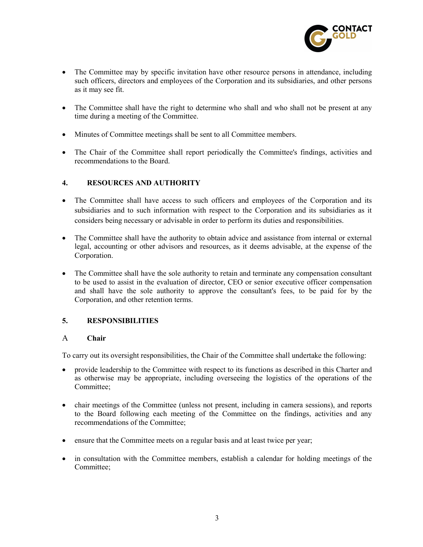

- The Committee may by specific invitation have other resource persons in attendance, including such officers, directors and employees of the Corporation and its subsidiaries, and other persons as it may see fit.
- The Committee shall have the right to determine who shall and who shall not be present at any time during a meeting of the Committee.
- Minutes of Committee meetings shall be sent to all Committee members.
- The Chair of the Committee shall report periodically the Committee's findings, activities and recommendations to the Board.

## 4. RESOURCES AND AUTHORITY

- The Committee shall have access to such officers and employees of the Corporation and its subsidiaries and to such information with respect to the Corporation and its subsidiaries as it considers being necessary or advisable in order to perform its duties and responsibilities.
- The Committee shall have the authority to obtain advice and assistance from internal or external legal, accounting or other advisors and resources, as it deems advisable, at the expense of the Corporation.
- The Committee shall have the sole authority to retain and terminate any compensation consultant to be used to assist in the evaluation of director, CEO or senior executive officer compensation and shall have the sole authority to approve the consultant's fees, to be paid for by the Corporation, and other retention terms.

# 5. RESPONSIBILITIES

#### A Chair

To carry out its oversight responsibilities, the Chair of the Committee shall undertake the following:

- provide leadership to the Committee with respect to its functions as described in this Charter and as otherwise may be appropriate, including overseeing the logistics of the operations of the Committee;
- chair meetings of the Committee (unless not present, including in camera sessions), and reports to the Board following each meeting of the Committee on the findings, activities and any recommendations of the Committee;
- ensure that the Committee meets on a regular basis and at least twice per year;
- in consultation with the Committee members, establish a calendar for holding meetings of the Committee;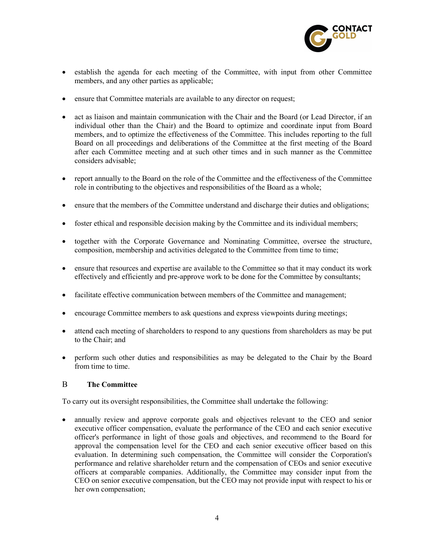

- establish the agenda for each meeting of the Committee, with input from other Committee members, and any other parties as applicable;
- ensure that Committee materials are available to any director on request;
- act as liaison and maintain communication with the Chair and the Board (or Lead Director, if an individual other than the Chair) and the Board to optimize and coordinate input from Board members, and to optimize the effectiveness of the Committee. This includes reporting to the full Board on all proceedings and deliberations of the Committee at the first meeting of the Board after each Committee meeting and at such other times and in such manner as the Committee considers advisable;
- report annually to the Board on the role of the Committee and the effectiveness of the Committee role in contributing to the objectives and responsibilities of the Board as a whole;
- ensure that the members of the Committee understand and discharge their duties and obligations;
- foster ethical and responsible decision making by the Committee and its individual members;
- together with the Corporate Governance and Nominating Committee, oversee the structure, composition, membership and activities delegated to the Committee from time to time;
- ensure that resources and expertise are available to the Committee so that it may conduct its work effectively and efficiently and pre-approve work to be done for the Committee by consultants;
- facilitate effective communication between members of the Committee and management;
- encourage Committee members to ask questions and express viewpoints during meetings;
- attend each meeting of shareholders to respond to any questions from shareholders as may be put to the Chair; and
- perform such other duties and responsibilities as may be delegated to the Chair by the Board from time to time.

### B The Committee

To carry out its oversight responsibilities, the Committee shall undertake the following:

 annually review and approve corporate goals and objectives relevant to the CEO and senior executive officer compensation, evaluate the performance of the CEO and each senior executive officer's performance in light of those goals and objectives, and recommend to the Board for approval the compensation level for the CEO and each senior executive officer based on this evaluation. In determining such compensation, the Committee will consider the Corporation's performance and relative shareholder return and the compensation of CEOs and senior executive officers at comparable companies. Additionally, the Committee may consider input from the CEO on senior executive compensation, but the CEO may not provide input with respect to his or her own compensation;